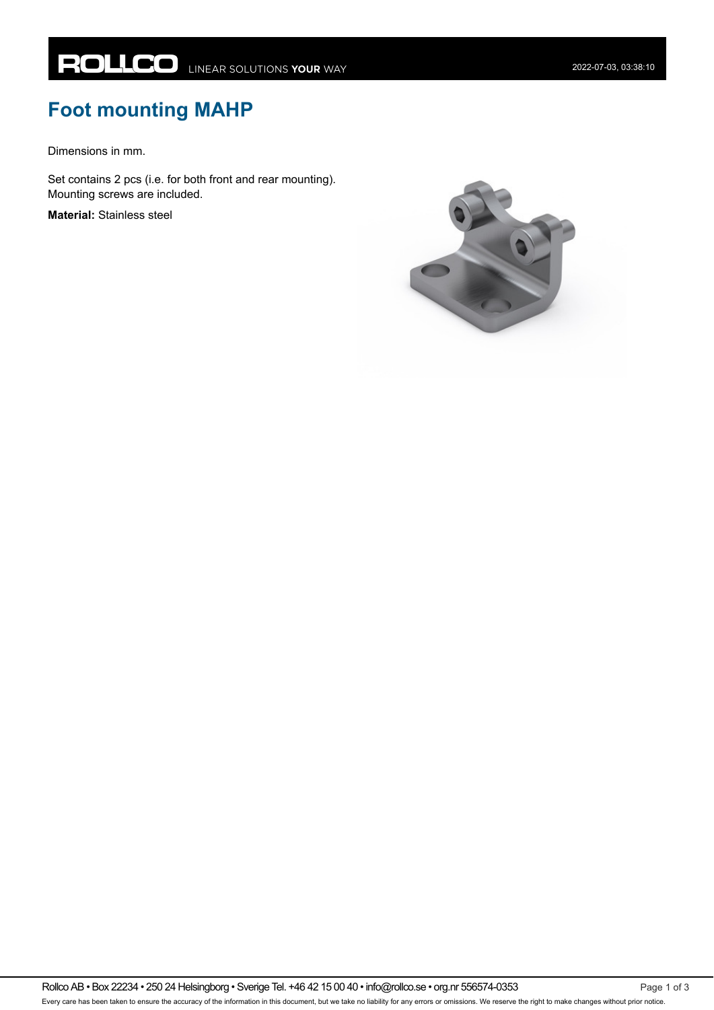## **Foot mounting MAHP**

Dimensions in mm.

Set contains 2 pcs (i.e. for both front and rear mounting). Mounting screws are included.

**Material:** Stainless steel

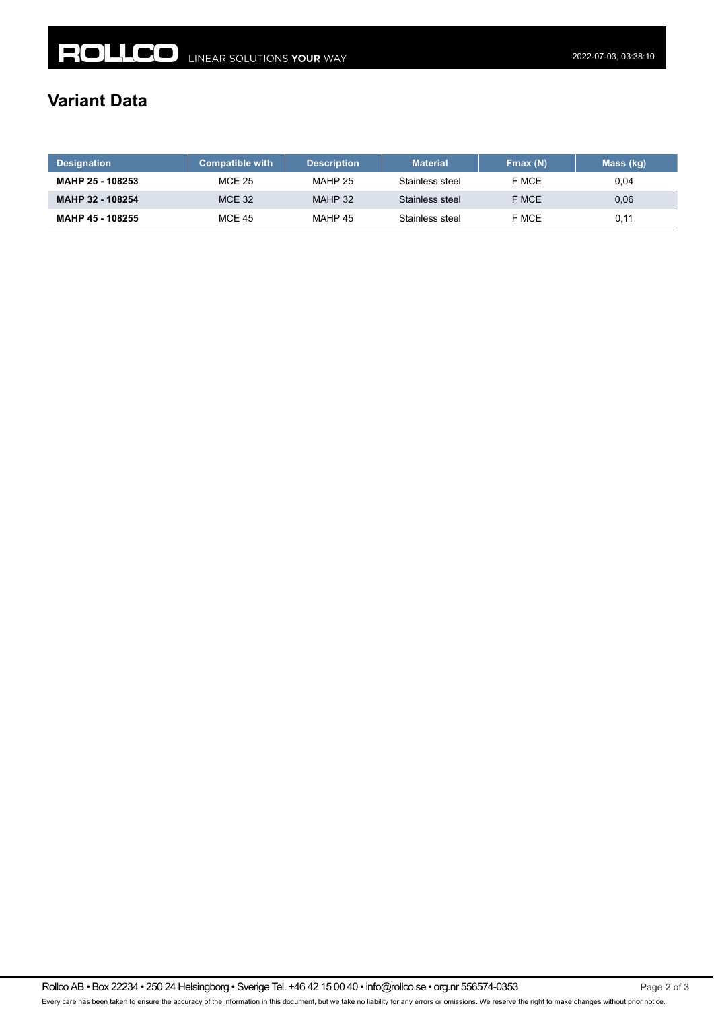## **Variant Data**

| <b>Designation</b>      | <b>Compatible with</b> | <b>Description</b> | <b>Material</b> | Fmax(N) | Mass (kg) |
|-------------------------|------------------------|--------------------|-----------------|---------|-----------|
| <b>MAHP 25 - 108253</b> | <b>MCE 25</b>          | MAHP 25            | Stainless steel | F MCE   | 0.04      |
| MAHP 32 - 108254        | <b>MCE 32</b>          | MAHP 32            | Stainless steel | F MCE   | 0,06      |
| <b>MAHP 45 - 108255</b> | <b>MCE 45</b>          | MAHP 45            | Stainless steel | F MCE   | 0,11      |

Rollco AB • Box 22234 • 250 24 Helsingborg • Sverige Tel. +46 42 15 00 40 • info@rollco.se • org.nr 556574-0353 Page 2 of 3 Every care has been taken to ensure the accuracy of the information in this document, but we take no liability for any errors or omissions. We reserve the right to make changes without prior notice.